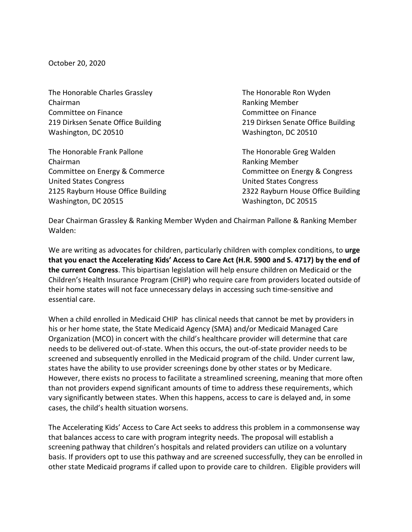October 20, 2020

The Honorable Charles Grassley The Honorable Ron Wyden Chairman **Chairman** Chairman Chairman Chairman **Ranking Member** Committee on Finance Committee on Finance Washington, DC 20510 Washington, DC 20510

The Honorable Frank Pallone The Honorable Greg Walden Chairman **Ranking Member** Ranking Member Committee on Energy & Commerce Committee on Energy & Congress United States Congress United States Congress Washington, DC 20515 Washington, DC 20515

219 Dirksen Senate Office Building 219 Dirksen Senate Office Building

2125 Rayburn House Office Building 2322 Rayburn House Office Building

Dear Chairman Grassley & Ranking Member Wyden and Chairman Pallone & Ranking Member Walden:

We are writing as advocates for children, particularly children with complex conditions, to **urge that you enact the Accelerating Kids' Access to Care Act (H.R. 5900 and S. 4717) by the end of the current Congress**. This bipartisan legislation will help ensure children on Medicaid or the Children's Health Insurance Program (CHIP) who require care from providers located outside of their home states will not face unnecessary delays in accessing such time-sensitive and essential care.

When a child enrolled in Medicaid CHIP has clinical needs that cannot be met by providers in his or her home state, the State Medicaid Agency (SMA) and/or Medicaid Managed Care Organization (MCO) in concert with the child's healthcare provider will determine that care needs to be delivered out-of-state. When this occurs, the out-of-state provider needs to be screened and subsequently enrolled in the Medicaid program of the child. Under current law, states have the ability to use provider screenings done by other states or by Medicare. However, there exists no process to facilitate a streamlined screening, meaning that more often than not providers expend significant amounts of time to address these requirements, which vary significantly between states. When this happens, access to care is delayed and, in some cases, the child's health situation worsens.

The Accelerating Kids' Access to Care Act seeks to address this problem in a commonsense way that balances access to care with program integrity needs. The proposal will establish a screening pathway that children's hospitals and related providers can utilize on a voluntary basis. If providers opt to use this pathway and are screened successfully, they can be enrolled in other state Medicaid programs if called upon to provide care to children. Eligible providers will